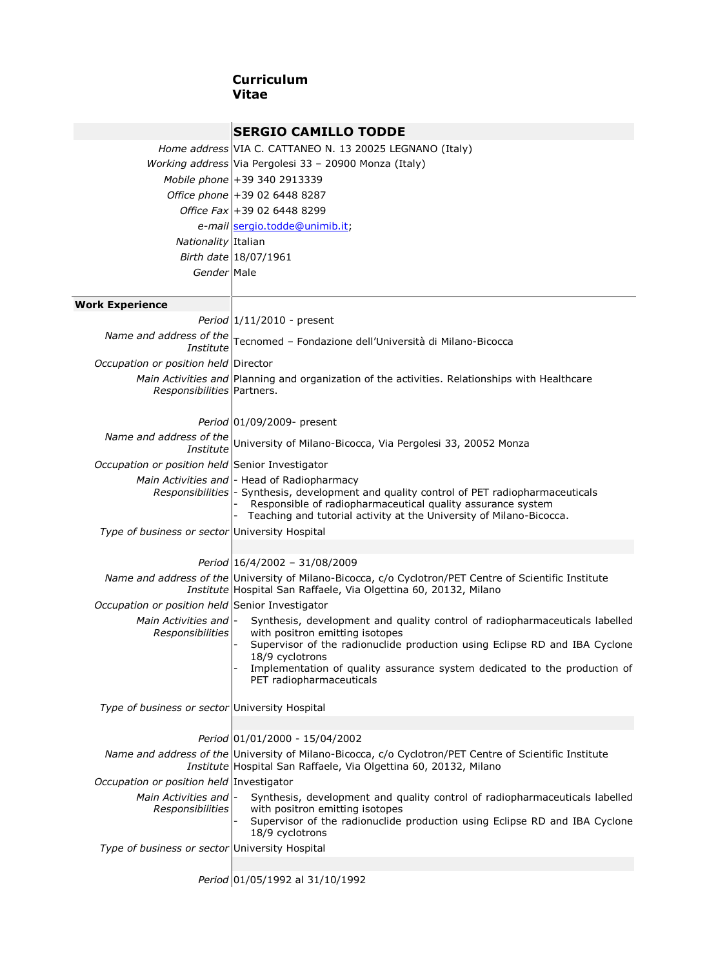## **Curriculum Vitae**

|                                                 | <b>SERGIO CAMILLO TODDE</b>                                                                                                                                                                                                                                                                                              |
|-------------------------------------------------|--------------------------------------------------------------------------------------------------------------------------------------------------------------------------------------------------------------------------------------------------------------------------------------------------------------------------|
|                                                 | Home address VIA C. CATTANEO N. 13 20025 LEGNANO (Italy)                                                                                                                                                                                                                                                                 |
|                                                 | Working address Via Pergolesi 33 - 20900 Monza (Italy)                                                                                                                                                                                                                                                                   |
|                                                 | Mobile phone +39 340 2913339                                                                                                                                                                                                                                                                                             |
|                                                 | Office phone +39 02 6448 8287                                                                                                                                                                                                                                                                                            |
|                                                 | Office Fax +39 02 6448 8299                                                                                                                                                                                                                                                                                              |
|                                                 | e-mail sergio.todde@unimib.it;                                                                                                                                                                                                                                                                                           |
| Nationality Italian                             |                                                                                                                                                                                                                                                                                                                          |
|                                                 | Birth date 18/07/1961                                                                                                                                                                                                                                                                                                    |
| Gender Male                                     |                                                                                                                                                                                                                                                                                                                          |
|                                                 |                                                                                                                                                                                                                                                                                                                          |
| <b>Work Experience</b>                          |                                                                                                                                                                                                                                                                                                                          |
|                                                 | Period $ 1/11/2010$ - present                                                                                                                                                                                                                                                                                            |
|                                                 | <i>Name and address of the</i> $ \text{Tecnomed} - \text{Fondazione dell'Università di Milano-Bicocca$                                                                                                                                                                                                                   |
| Occupation or position held Director            |                                                                                                                                                                                                                                                                                                                          |
| Responsibilities Partners.                      | Main Activities and Planning and organization of the activities. Relationships with Healthcare                                                                                                                                                                                                                           |
|                                                 | Period 01/09/2009- present                                                                                                                                                                                                                                                                                               |
|                                                 | Name and address of the University of Milano-Bicocca, Via Pergolesi 33, 20052 Monza                                                                                                                                                                                                                                      |
| Occupation or position held Senior Investigator |                                                                                                                                                                                                                                                                                                                          |
|                                                 | Main Activities and - Head of Radiopharmacy<br>Responsibilities - Synthesis, development and quality control of PET radiopharmaceuticals<br>Responsible of radiopharmaceutical quality assurance system<br>Teaching and tutorial activity at the University of Milano-Bicocca.                                           |
| Type of business or sector University Hospital  |                                                                                                                                                                                                                                                                                                                          |
|                                                 | Period 16/4/2002 - 31/08/2009                                                                                                                                                                                                                                                                                            |
|                                                 | Name and address of the University of Milano-Bicocca, c/o Cyclotron/PET Centre of Scientific Institute<br>Institute Hospital San Raffaele, Via Olgettina 60, 20132, Milano                                                                                                                                               |
| Occupation or position held Senior Investigator |                                                                                                                                                                                                                                                                                                                          |
| Main Activities and -<br>Responsibilities       | Synthesis, development and quality control of radiopharmaceuticals labelled<br>with positron emitting isotopes<br>Supervisor of the radionuclide production using Eclipse RD and IBA Cyclone<br>18/9 cyclotrons<br>Implementation of quality assurance system dedicated to the production of<br>PET radiopharmaceuticals |
| Type of business or sector University Hospital  |                                                                                                                                                                                                                                                                                                                          |
|                                                 | Period 01/01/2000 - 15/04/2002                                                                                                                                                                                                                                                                                           |
|                                                 | Name and address of the University of Milano-Bicocca, c/o Cyclotron/PET Centre of Scientific Institute                                                                                                                                                                                                                   |
|                                                 | Institute Hospital San Raffaele, Via Olgettina 60, 20132, Milano                                                                                                                                                                                                                                                         |
| Occupation or position held Investigator        |                                                                                                                                                                                                                                                                                                                          |
| Main Activities and -<br>Responsibilities       | Synthesis, development and quality control of radiopharmaceuticals labelled<br>with positron emitting isotopes<br>Supervisor of the radionuclide production using Eclipse RD and IBA Cyclone<br>18/9 cyclotrons                                                                                                          |
| Type of business or sector University Hospital  |                                                                                                                                                                                                                                                                                                                          |
|                                                 | Period 01/05/1992 al 31/10/1992                                                                                                                                                                                                                                                                                          |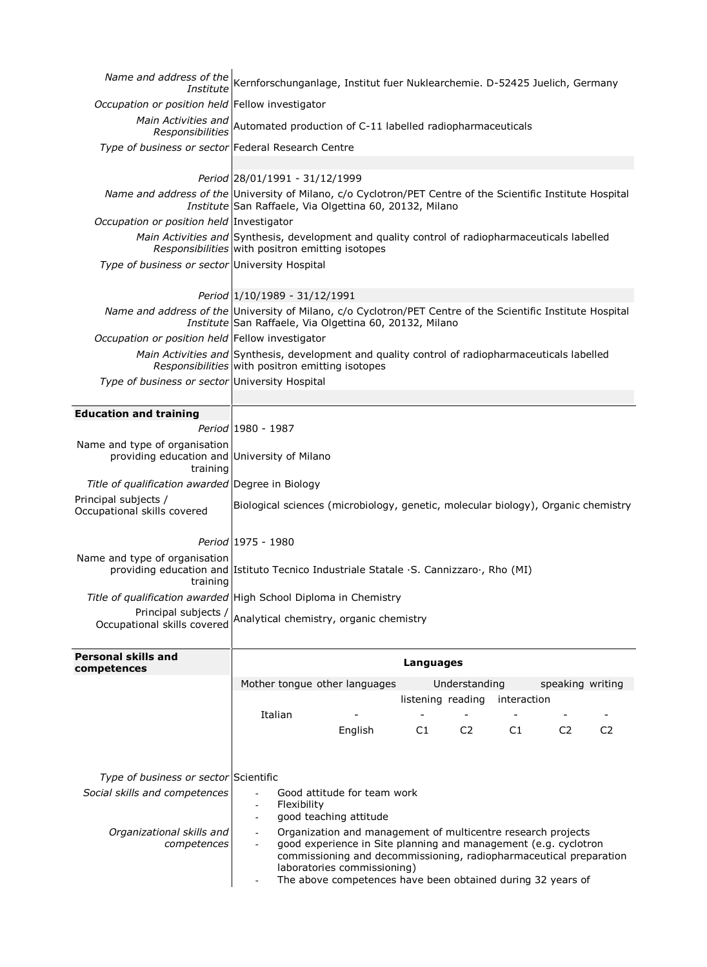| Institute                                                                                 | Name and address of the Kernforschunganlage, Institut fuer Nuklearchemie. D-52425 Juelich, Germany                                                                                                                                  |
|-------------------------------------------------------------------------------------------|-------------------------------------------------------------------------------------------------------------------------------------------------------------------------------------------------------------------------------------|
| Occupation or position held Fellow investigator                                           |                                                                                                                                                                                                                                     |
| Main Activities and<br>Responsibilities                                                   | Automated production of C-11 labelled radiopharmaceuticals                                                                                                                                                                          |
| Type of business or sector Federal Research Centre                                        |                                                                                                                                                                                                                                     |
|                                                                                           | Period 28/01/1991 - 31/12/1999                                                                                                                                                                                                      |
|                                                                                           | Name and address of the University of Milano, c/o Cyclotron/PET Centre of the Scientific Institute Hospital<br>Institute San Raffaele, Via Olgettina 60, 20132, Milano                                                              |
| Occupation or position held Investigator                                                  |                                                                                                                                                                                                                                     |
|                                                                                           | Main Activities and Synthesis, development and quality control of radiopharmaceuticals labelled<br>Responsibilities with positron emitting isotopes                                                                                 |
| Type of business or sector University Hospital                                            |                                                                                                                                                                                                                                     |
|                                                                                           | Period 1/10/1989 - 31/12/1991                                                                                                                                                                                                       |
|                                                                                           | Name and address of the University of Milano, c/o Cyclotron/PET Centre of the Scientific Institute Hospital<br>Institute San Raffaele, Via Olgettina 60, 20132, Milano                                                              |
| Occupation or position held Fellow investigator                                           |                                                                                                                                                                                                                                     |
|                                                                                           | Main Activities and Synthesis, development and quality control of radiopharmaceuticals labelled<br>Responsibilities with positron emitting isotopes                                                                                 |
| Type of business or sector University Hospital                                            |                                                                                                                                                                                                                                     |
|                                                                                           |                                                                                                                                                                                                                                     |
| <b>Education and training</b>                                                             |                                                                                                                                                                                                                                     |
|                                                                                           | Period 1980 - 1987                                                                                                                                                                                                                  |
| Name and type of organisation<br>providing education and University of Milano<br>training |                                                                                                                                                                                                                                     |
| Title of qualification awarded Degree in Biology                                          |                                                                                                                                                                                                                                     |
| Principal subjects /<br>Occupational skills covered                                       | Biological sciences (microbiology, genetic, molecular biology), Organic chemistry                                                                                                                                                   |
|                                                                                           | Period 1975 - 1980                                                                                                                                                                                                                  |
| Name and type of organisation                                                             | providing education and Istituto Tecnico Industriale Statale .S. Cannizzaro ., Rho (MI)                                                                                                                                             |
| training                                                                                  | Title of qualification awarded High School Diploma in Chemistry                                                                                                                                                                     |
| Principal subjects /                                                                      |                                                                                                                                                                                                                                     |
| Occupational skills covered                                                               | Analytical chemistry, organic chemistry                                                                                                                                                                                             |
| Personal skills and<br>competences                                                        | Languages                                                                                                                                                                                                                           |
|                                                                                           | Mother tongue other languages<br>Understanding<br>speaking writing                                                                                                                                                                  |
|                                                                                           | listening reading<br>interaction                                                                                                                                                                                                    |
|                                                                                           | Italian<br>$\overline{\phantom{a}}$<br>$\overline{\phantom{0}}$                                                                                                                                                                     |
|                                                                                           | C1<br>C <sub>2</sub><br>C1<br>C <sub>2</sub><br>C <sub>2</sub><br>English                                                                                                                                                           |
|                                                                                           |                                                                                                                                                                                                                                     |
| Type of business or sector Scientific                                                     |                                                                                                                                                                                                                                     |
| Social skills and competences                                                             | Good attitude for team work                                                                                                                                                                                                         |
|                                                                                           | Flexibility<br>$\blacksquare$<br>good teaching attitude<br>$\overline{\phantom{a}}$                                                                                                                                                 |
| Organizational skills and                                                                 | Organization and management of multicentre research projects                                                                                                                                                                        |
| competences                                                                               | good experience in Site planning and management (e.g. cyclotron<br>commissioning and decommissioning, radiopharmaceutical preparation<br>laboratories commissioning)<br>The above competences have been obtained during 32 years of |